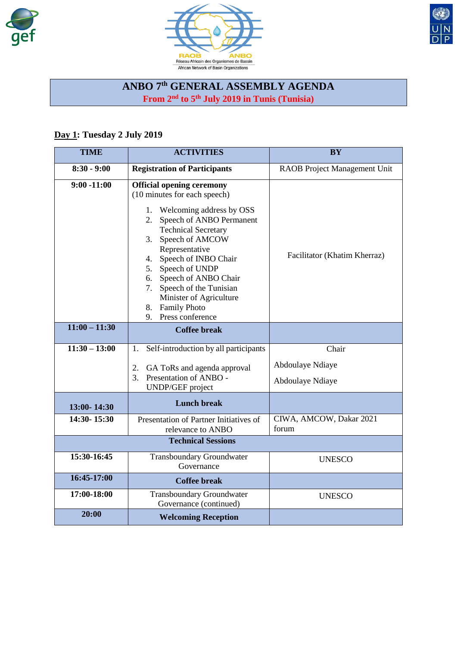





## **ANBO 7th GENERAL ASSEMBLY AGENDA From 2nd to 5th July 2019 in Tunis (Tunisia)**

## **Day 1: Tuesday 2 July 2019**

| <b>TIME</b>     | <b>ACTIVITIES</b>                                                                                                                                                                                                                                                                                                                                                                                                | <b>BY</b>                                   |
|-----------------|------------------------------------------------------------------------------------------------------------------------------------------------------------------------------------------------------------------------------------------------------------------------------------------------------------------------------------------------------------------------------------------------------------------|---------------------------------------------|
| $8:30 - 9:00$   | <b>Registration of Participants</b>                                                                                                                                                                                                                                                                                                                                                                              | RAOB Project Management Unit                |
| $9:00 - 11:00$  | <b>Official opening ceremony</b><br>(10 minutes for each speech)<br>1. Welcoming address by OSS<br>Speech of ANBO Permanent<br>2.<br><b>Technical Secretary</b><br>Speech of AMCOW<br>3.<br>Representative<br>Speech of INBO Chair<br>4.<br>Speech of UNDP<br>5.<br>Speech of ANBO Chair<br>6.<br>Speech of the Tunisian<br>7.<br>Minister of Agriculture<br><b>Family Photo</b><br>8.<br>Press conference<br>9. | Facilitator (Khatim Kherraz)                |
| $11:00 - 11:30$ | <b>Coffee break</b>                                                                                                                                                                                                                                                                                                                                                                                              |                                             |
| $11:30 - 13:00$ | Self-introduction by all participants<br>1.                                                                                                                                                                                                                                                                                                                                                                      | Chair                                       |
|                 | GA ToRs and agenda approval<br>2.<br>3.<br>Presentation of ANBO -<br><b>UNDP/GEF</b> project                                                                                                                                                                                                                                                                                                                     | <b>Abdoulaye Ndiaye</b><br>Abdoulaye Ndiaye |
| 13:00-14:30     | <b>Lunch break</b>                                                                                                                                                                                                                                                                                                                                                                                               |                                             |
| 14:30-15:30     | Presentation of Partner Initiatives of<br>relevance to ANBO                                                                                                                                                                                                                                                                                                                                                      | CIWA, AMCOW, Dakar 2021<br>forum            |
|                 | <b>Technical Sessions</b>                                                                                                                                                                                                                                                                                                                                                                                        |                                             |
| 15:30-16:45     | <b>Transboundary Groundwater</b><br>Governance                                                                                                                                                                                                                                                                                                                                                                   | <b>UNESCO</b>                               |
| 16:45-17:00     | <b>Coffee break</b>                                                                                                                                                                                                                                                                                                                                                                                              |                                             |
| 17:00-18:00     | <b>Transboundary Groundwater</b><br>Governance (continued)                                                                                                                                                                                                                                                                                                                                                       | <b>UNESCO</b>                               |
| 20:00           | <b>Welcoming Reception</b>                                                                                                                                                                                                                                                                                                                                                                                       |                                             |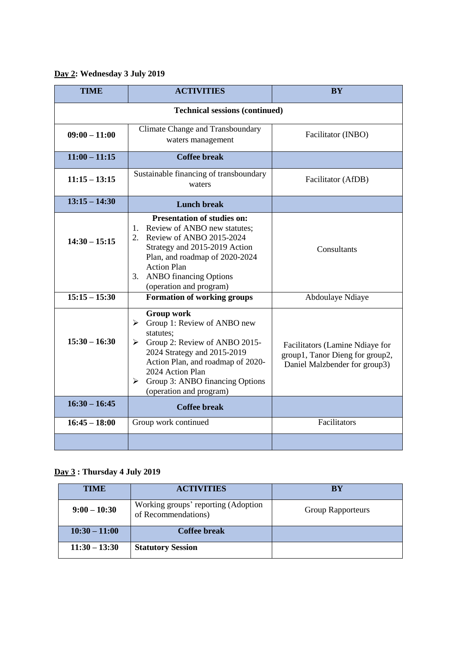## **Day 2: Wednesday 3 July 2019**

| <b>TIME</b>                           | <b>ACTIVITIES</b>                                                                                                                                                                                                                                                                       | <b>BY</b>                                                                                           |  |
|---------------------------------------|-----------------------------------------------------------------------------------------------------------------------------------------------------------------------------------------------------------------------------------------------------------------------------------------|-----------------------------------------------------------------------------------------------------|--|
| <b>Technical sessions (continued)</b> |                                                                                                                                                                                                                                                                                         |                                                                                                     |  |
| $09:00 - 11:00$                       | <b>Climate Change and Transboundary</b><br>waters management                                                                                                                                                                                                                            | Facilitator (INBO)                                                                                  |  |
| $11:00 - 11:15$                       | <b>Coffee break</b>                                                                                                                                                                                                                                                                     |                                                                                                     |  |
| $11:15 - 13:15$                       | Sustainable financing of transboundary<br>waters                                                                                                                                                                                                                                        | Facilitator (AfDB)                                                                                  |  |
| $13:15 - 14:30$                       | <b>Lunch break</b>                                                                                                                                                                                                                                                                      |                                                                                                     |  |
| $14:30 - 15:15$                       | <b>Presentation of studies on:</b><br>1. Review of ANBO new statutes;<br>2.<br>Review of ANBO 2015-2024<br>Strategy and 2015-2019 Action<br>Plan, and roadmap of 2020-2024<br><b>Action Plan</b><br><b>ANBO</b> financing Options<br>3.<br>(operation and program)                      | Consultants                                                                                         |  |
| $15:15 - 15:30$                       | <b>Formation of working groups</b>                                                                                                                                                                                                                                                      | Abdoulaye Ndiaye                                                                                    |  |
| $15:30 - 16:30$                       | <b>Group work</b><br>Group 1: Review of ANBO new<br>$\blacktriangleright$<br>statutes:<br>Group 2: Review of ANBO 2015-<br>≻<br>2024 Strategy and 2015-2019<br>Action Plan, and roadmap of 2020-<br>2024 Action Plan<br>Group 3: ANBO financing Options<br>≻<br>(operation and program) | Facilitators (Lamine Ndiaye for<br>group1, Tanor Dieng for group2,<br>Daniel Malzbender for group3) |  |
| $16:30 - 16:45$                       | <b>Coffee break</b>                                                                                                                                                                                                                                                                     |                                                                                                     |  |
| $16:45 - 18:00$                       | Group work continued                                                                                                                                                                                                                                                                    | Facilitators                                                                                        |  |
|                                       |                                                                                                                                                                                                                                                                                         |                                                                                                     |  |

## **Day 3 : Thursday 4 July 2019**

| <b>TIME</b>     | <b>ACTIVITIES</b>                                          | <b>BY</b>                |
|-----------------|------------------------------------------------------------|--------------------------|
| $9:00 - 10:30$  | Working groups' reporting (Adoption<br>of Recommendations) | <b>Group Rapporteurs</b> |
| $10:30 - 11:00$ | Coffee break                                               |                          |
| $11:30 - 13:30$ | <b>Statutory Session</b>                                   |                          |